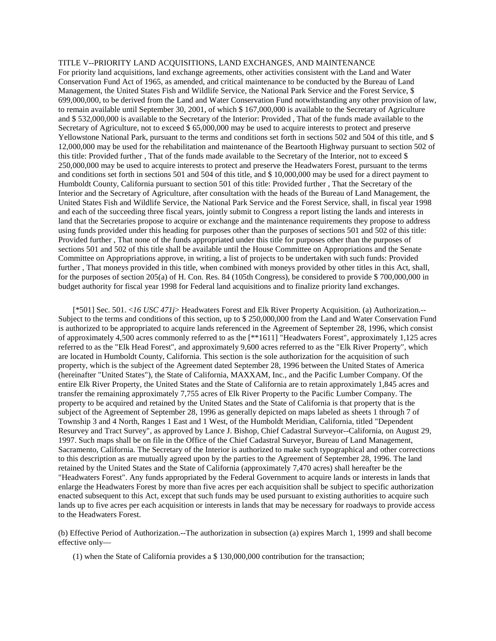## TITLE V--PRIORITY LAND ACQUISITIONS, LAND EXCHANGES, AND MAINTENANCE

For priority land acquisitions, land exchange agreements, other activities consistent with the Land and Water Conservation Fund Act of 1965, as amended, and critical maintenance to be conducted by the Bureau of Land Management, the United States Fish and Wildlife Service, the National Park Service and the Forest Service, \$ 699,000,000, to be derived from the Land and Water Conservation Fund notwithstanding any other provision of law, to remain available until September 30, 2001, of which \$ 167,000,000 is available to the Secretary of Agriculture and \$ 532,000,000 is available to the Secretary of the Interior: Provided , That of the funds made available to the Secretary of Agriculture, not to exceed \$ 65,000,000 may be used to acquire interests to protect and preserve Yellowstone National Park, pursuant to the terms and conditions set forth in sections 502 and 504 of this title, and \$ 12,000,000 may be used for the rehabilitation and maintenance of the Beartooth Highway pursuant to section 502 of this title: Provided further , That of the funds made available to the Secretary of the Interior, not to exceed \$ 250,000,000 may be used to acquire interests to protect and preserve the Headwaters Forest, pursuant to the terms and conditions set forth in sections 501 and 504 of this title, and \$ 10,000,000 may be used for a direct payment to Humboldt County, California pursuant to section 501 of this title: Provided further , That the Secretary of the Interior and the Secretary of Agriculture, after consultation with the heads of the Bureau of Land Management, the United States Fish and Wildlife Service, the National Park Service and the Forest Service, shall, in fiscal year 1998 and each of the succeeding three fiscal years, jointly submit to Congress a report listing the lands and interests in land that the Secretaries propose to acquire or exchange and the maintenance requirements they propose to address using funds provided under this heading for purposes other than the purposes of sections 501 and 502 of this title: Provided further , That none of the funds appropriated under this title for purposes other than the purposes of sections 501 and 502 of this title shall be available until the House Committee on Appropriations and the Senate Committee on Appropriations approve, in writing, a list of projects to be undertaken with such funds: Provided further, That moneys provided in this title, when combined with moneys provided by other titles in this Act, shall, for the purposes of section 205(a) of H. Con. Res. 84 (105th Congress), be considered to provide \$ 700,000,000 in budget authority for fiscal year 1998 for Federal land acquisitions and to finalize priority land exchanges.

[\*501] Sec. 501. <*16 USC 471j*> Headwaters Forest and Elk River Property Acquisition. (a) Authorization.-- Subject to the terms and conditions of this section, up to \$ 250,000,000 from the Land and Water Conservation Fund is authorized to be appropriated to acquire lands referenced in the Agreement of September 28, 1996, which consist of approximately 4,500 acres commonly referred to as the [\*\*1611] "Headwaters Forest", approximately 1,125 acres referred to as the "Elk Head Forest", and approximately 9,600 acres referred to as the "Elk River Property", which are located in Humboldt County, California. This section is the sole authorization for the acquisition of such property, which is the subject of the Agreement dated September 28, 1996 between the United States of America (hereinafter "United States"), the State of California, MAXXAM, Inc., and the Pacific Lumber Company. Of the entire Elk River Property, the United States and the State of California are to retain approximately 1,845 acres and transfer the remaining approximately 7,755 acres of Elk River Property to the Pacific Lumber Company. The property to be acquired and retained by the United States and the State of California is that property that is the subject of the Agreement of September 28, 1996 as generally depicted on maps labeled as sheets 1 through 7 of Township 3 and 4 North, Ranges 1 East and 1 West, of the Humboldt Meridian, California, titled "Dependent Resurvey and Tract Survey", as approved by Lance J. Bishop, Chief Cadastral Surveyor--California, on August 29, 1997. Such maps shall be on file in the Office of the Chief Cadastral Surveyor, Bureau of Land Management, Sacramento, California. The Secretary of the Interior is authorized to make such typographical and other corrections to this description as are mutually agreed upon by the parties to the Agreement of September 28, 1996. The land retained by the United States and the State of California (approximately 7,470 acres) shall hereafter be the "Headwaters Forest". Any funds appropriated by the Federal Government to acquire lands or interests in lands that enlarge the Headwaters Forest by more than five acres per each acquisition shall be subject to specific authorization enacted subsequent to this Act, except that such funds may be used pursuant to existing authorities to acquire such lands up to five acres per each acquisition or interests in lands that may be necessary for roadways to provide access to the Headwaters Forest.

(b) Effective Period of Authorization.--The authorization in subsection (a) expires March 1, 1999 and shall become effective only—

(1) when the State of California provides a \$ 130,000,000 contribution for the transaction;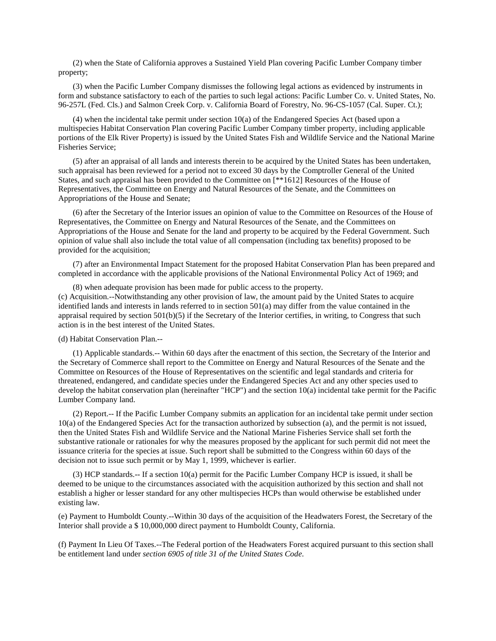(2) when the State of California approves a Sustained Yield Plan covering Pacific Lumber Company timber property;

(3) when the Pacific Lumber Company dismisses the following legal actions as evidenced by instruments in form and substance satisfactory to each of the parties to such legal actions: Pacific Lumber Co. v. United States, No. 96-257L (Fed. Cls.) and Salmon Creek Corp. v. California Board of Forestry, No. 96-CS-1057 (Cal. Super. Ct.);

(4) when the incidental take permit under section 10(a) of the Endangered Species Act (based upon a multispecies Habitat Conservation Plan covering Pacific Lumber Company timber property, including applicable portions of the Elk River Property) is issued by the United States Fish and Wildlife Service and the National Marine Fisheries Service;

(5) after an appraisal of all lands and interests therein to be acquired by the United States has been undertaken, such appraisal has been reviewed for a period not to exceed 30 days by the Comptroller General of the United States, and such appraisal has been provided to the Committee on [\*\*1612] Resources of the House of Representatives, the Committee on Energy and Natural Resources of the Senate, and the Committees on Appropriations of the House and Senate;

(6) after the Secretary of the Interior issues an opinion of value to the Committee on Resources of the House of Representatives, the Committee on Energy and Natural Resources of the Senate, and the Committees on Appropriations of the House and Senate for the land and property to be acquired by the Federal Government. Such opinion of value shall also include the total value of all compensation (including tax benefits) proposed to be provided for the acquisition;

(7) after an Environmental Impact Statement for the proposed Habitat Conservation Plan has been prepared and completed in accordance with the applicable provisions of the National Environmental Policy Act of 1969; and

(8) when adequate provision has been made for public access to the property. (c) Acquisition.--Notwithstanding any other provision of law, the amount paid by the United States to acquire identified lands and interests in lands referred to in section 501(a) may differ from the value contained in the appraisal required by section  $501(b)(5)$  if the Secretary of the Interior certifies, in writing, to Congress that such action is in the best interest of the United States.

(d) Habitat Conservation Plan.--

(1) Applicable standards.-- Within 60 days after the enactment of this section, the Secretary of the Interior and the Secretary of Commerce shall report to the Committee on Energy and Natural Resources of the Senate and the Committee on Resources of the House of Representatives on the scientific and legal standards and criteria for threatened, endangered, and candidate species under the Endangered Species Act and any other species used to develop the habitat conservation plan (hereinafter "HCP") and the section 10(a) incidental take permit for the Pacific Lumber Company land.

(2) Report.-- If the Pacific Lumber Company submits an application for an incidental take permit under section 10(a) of the Endangered Species Act for the transaction authorized by subsection (a), and the permit is not issued, then the United States Fish and Wildlife Service and the National Marine Fisheries Service shall set forth the substantive rationale or rationales for why the measures proposed by the applicant for such permit did not meet the issuance criteria for the species at issue. Such report shall be submitted to the Congress within 60 days of the decision not to issue such permit or by May 1, 1999, whichever is earlier.

(3) HCP standards.-- If a section 10(a) permit for the Pacific Lumber Company HCP is issued, it shall be deemed to be unique to the circumstances associated with the acquisition authorized by this section and shall not establish a higher or lesser standard for any other multispecies HCPs than would otherwise be established under existing law.

(e) Payment to Humboldt County.--Within 30 days of the acquisition of the Headwaters Forest, the Secretary of the Interior shall provide a \$ 10,000,000 direct payment to Humboldt County, California.

(f) Payment In Lieu Of Taxes.--The Federal portion of the Headwaters Forest acquired pursuant to this section shall be entitlement land under *section 6905 of title 31 of the United States Code*.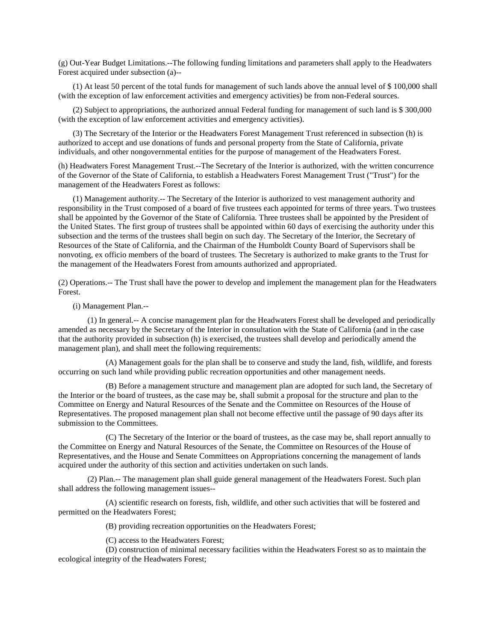(g) Out-Year Budget Limitations.--The following funding limitations and parameters shall apply to the Headwaters Forest acquired under subsection (a)--

(1) At least 50 percent of the total funds for management of such lands above the annual level of \$ 100,000 shall (with the exception of law enforcement activities and emergency activities) be from non-Federal sources.

(2) Subject to appropriations, the authorized annual Federal funding for management of such land is \$ 300,000 (with the exception of law enforcement activities and emergency activities).

(3) The Secretary of the Interior or the Headwaters Forest Management Trust referenced in subsection (h) is authorized to accept and use donations of funds and personal property from the State of California, private individuals, and other nongovernmental entities for the purpose of management of the Headwaters Forest.

(h) Headwaters Forest Management Trust.--The Secretary of the Interior is authorized, with the written concurrence of the Governor of the State of California, to establish a Headwaters Forest Management Trust ("Trust") for the management of the Headwaters Forest as follows:

(1) Management authority.-- The Secretary of the Interior is authorized to vest management authority and responsibility in the Trust composed of a board of five trustees each appointed for terms of three years. Two trustees shall be appointed by the Governor of the State of California. Three trustees shall be appointed by the President of the United States. The first group of trustees shall be appointed within 60 days of exercising the authority under this subsection and the terms of the trustees shall begin on such day. The Secretary of the Interior, the Secretary of Resources of the State of California, and the Chairman of the Humboldt County Board of Supervisors shall be nonvoting, ex officio members of the board of trustees. The Secretary is authorized to make grants to the Trust for the management of the Headwaters Forest from amounts authorized and appropriated.

(2) Operations.-- The Trust shall have the power to develop and implement the management plan for the Headwaters Forest.

## (i) Management Plan.--

(1) In general.-- A concise management plan for the Headwaters Forest shall be developed and periodically amended as necessary by the Secretary of the Interior in consultation with the State of California (and in the case that the authority provided in subsection (h) is exercised, the trustees shall develop and periodically amend the management plan), and shall meet the following requirements:

(A) Management goals for the plan shall be to conserve and study the land, fish, wildlife, and forests occurring on such land while providing public recreation opportunities and other management needs.

(B) Before a management structure and management plan are adopted for such land, the Secretary of the Interior or the board of trustees, as the case may be, shall submit a proposal for the structure and plan to the Committee on Energy and Natural Resources of the Senate and the Committee on Resources of the House of Representatives. The proposed management plan shall not become effective until the passage of 90 days after its submission to the Committees.

(C) The Secretary of the Interior or the board of trustees, as the case may be, shall report annually to the Committee on Energy and Natural Resources of the Senate, the Committee on Resources of the House of Representatives, and the House and Senate Committees on Appropriations concerning the management of lands acquired under the authority of this section and activities undertaken on such lands.

(2) Plan.-- The management plan shall guide general management of the Headwaters Forest. Such plan shall address the following management issues--

(A) scientific research on forests, fish, wildlife, and other such activities that will be fostered and permitted on the Headwaters Forest;

(B) providing recreation opportunities on the Headwaters Forest;

(C) access to the Headwaters Forest;

(D) construction of minimal necessary facilities within the Headwaters Forest so as to maintain the ecological integrity of the Headwaters Forest;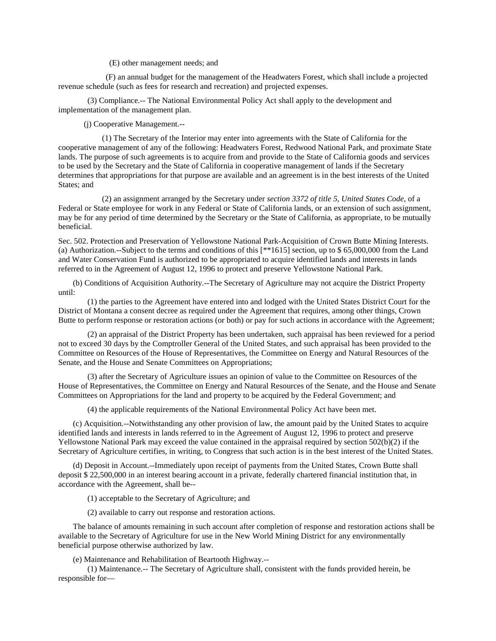(E) other management needs; and

(F) an annual budget for the management of the Headwaters Forest, which shall include a projected revenue schedule (such as fees for research and recreation) and projected expenses.

(3) Compliance.-- The National Environmental Policy Act shall apply to the development and implementation of the management plan.

(j) Cooperative Management.--

(1) The Secretary of the Interior may enter into agreements with the State of California for the cooperative management of any of the following: Headwaters Forest, Redwood National Park, and proximate State lands. The purpose of such agreements is to acquire from and provide to the State of California goods and services to be used by the Secretary and the State of California in cooperative management of lands if the Secretary determines that appropriations for that purpose are available and an agreement is in the best interests of the United States; and

(2) an assignment arranged by the Secretary under *section 3372 of title 5, United States Code*, of a Federal or State employee for work in any Federal or State of California lands, or an extension of such assignment, may be for any period of time determined by the Secretary or the State of California, as appropriate, to be mutually beneficial.

Sec. 502. Protection and Preservation of Yellowstone National Park-Acquisition of Crown Butte Mining Interests. (a) Authorization.--Subject to the terms and conditions of this [\*\*1615] section, up to \$ 65,000,000 from the Land and Water Conservation Fund is authorized to be appropriated to acquire identified lands and interests in lands referred to in the Agreement of August 12, 1996 to protect and preserve Yellowstone National Park.

(b) Conditions of Acquisition Authority.--The Secretary of Agriculture may not acquire the District Property until:

(1) the parties to the Agreement have entered into and lodged with the United States District Court for the District of Montana a consent decree as required under the Agreement that requires, among other things, Crown Butte to perform response or restoration actions (or both) or pay for such actions in accordance with the Agreement;

(2) an appraisal of the District Property has been undertaken, such appraisal has been reviewed for a period not to exceed 30 days by the Comptroller General of the United States, and such appraisal has been provided to the Committee on Resources of the House of Representatives, the Committee on Energy and Natural Resources of the Senate, and the House and Senate Committees on Appropriations;

(3) after the Secretary of Agriculture issues an opinion of value to the Committee on Resources of the House of Representatives, the Committee on Energy and Natural Resources of the Senate, and the House and Senate Committees on Appropriations for the land and property to be acquired by the Federal Government; and

(4) the applicable requirements of the National Environmental Policy Act have been met.

(c) Acquisition.--Notwithstanding any other provision of law, the amount paid by the United States to acquire identified lands and interests in lands referred to in the Agreement of August 12, 1996 to protect and preserve Yellowstone National Park may exceed the value contained in the appraisal required by section 502(b)(2) if the Secretary of Agriculture certifies, in writing, to Congress that such action is in the best interest of the United States.

(d) Deposit in Account.--Immediately upon receipt of payments from the United States, Crown Butte shall deposit \$ 22,500,000 in an interest bearing account in a private, federally chartered financial institution that, in accordance with the Agreement, shall be--

(1) acceptable to the Secretary of Agriculture; and

(2) available to carry out response and restoration actions.

The balance of amounts remaining in such account after completion of response and restoration actions shall be available to the Secretary of Agriculture for use in the New World Mining District for any environmentally beneficial purpose otherwise authorized by law.

(e) Maintenance and Rehabilitation of Beartooth Highway.--

(1) Maintenance.-- The Secretary of Agriculture shall, consistent with the funds provided herein, be responsible for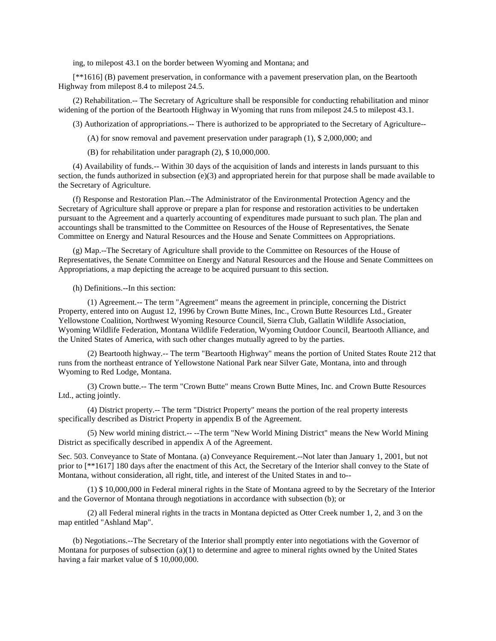ing, to milepost 43.1 on the border between Wyoming and Montana; and

[\*\*1616] (B) pavement preservation, in conformance with a pavement preservation plan, on the Beartooth Highway from milepost 8.4 to milepost 24.5.

(2) Rehabilitation.-- The Secretary of Agriculture shall be responsible for conducting rehabilitation and minor widening of the portion of the Beartooth Highway in Wyoming that runs from milepost 24.5 to milepost 43.1.

(3) Authorization of appropriations.-- There is authorized to be appropriated to the Secretary of Agriculture--

(A) for snow removal and pavement preservation under paragraph (1), \$ 2,000,000; and

(B) for rehabilitation under paragraph (2), \$ 10,000,000.

(4) Availability of funds.-- Within 30 days of the acquisition of lands and interests in lands pursuant to this section, the funds authorized in subsection  $(e)(3)$  and appropriated herein for that purpose shall be made available to the Secretary of Agriculture.

(f) Response and Restoration Plan.--The Administrator of the Environmental Protection Agency and the Secretary of Agriculture shall approve or prepare a plan for response and restoration activities to be undertaken pursuant to the Agreement and a quarterly accounting of expenditures made pursuant to such plan. The plan and accountings shall be transmitted to the Committee on Resources of the House of Representatives, the Senate Committee on Energy and Natural Resources and the House and Senate Committees on Appropriations.

(g) Map.--The Secretary of Agriculture shall provide to the Committee on Resources of the House of Representatives, the Senate Committee on Energy and Natural Resources and the House and Senate Committees on Appropriations, a map depicting the acreage to be acquired pursuant to this section.

(h) Definitions.--In this section:

(1) Agreement.-- The term "Agreement" means the agreement in principle, concerning the District Property, entered into on August 12, 1996 by Crown Butte Mines, Inc., Crown Butte Resources Ltd., Greater Yellowstone Coalition, Northwest Wyoming Resource Council, Sierra Club, Gallatin Wildlife Association, Wyoming Wildlife Federation, Montana Wildlife Federation, Wyoming Outdoor Council, Beartooth Alliance, and the United States of America, with such other changes mutually agreed to by the parties.

(2) Beartooth highway.-- The term "Beartooth Highway" means the portion of United States Route 212 that runs from the northeast entrance of Yellowstone National Park near Silver Gate, Montana, into and through Wyoming to Red Lodge, Montana.

(3) Crown butte.-- The term "Crown Butte" means Crown Butte Mines, Inc. and Crown Butte Resources Ltd., acting jointly.

(4) District property.-- The term "District Property" means the portion of the real property interests specifically described as District Property in appendix B of the Agreement.

(5) New world mining district.-- --The term "New World Mining District" means the New World Mining District as specifically described in appendix A of the Agreement.

Sec. 503. Conveyance to State of Montana. (a) Conveyance Requirement.--Not later than January 1, 2001, but not prior to [\*\*1617] 180 days after the enactment of this Act, the Secretary of the Interior shall convey to the State of Montana, without consideration, all right, title, and interest of the United States in and to--

(1) \$ 10,000,000 in Federal mineral rights in the State of Montana agreed to by the Secretary of the Interior and the Governor of Montana through negotiations in accordance with subsection (b); or

(2) all Federal mineral rights in the tracts in Montana depicted as Otter Creek number 1, 2, and 3 on the map entitled "Ashland Map".

(b) Negotiations.--The Secretary of the Interior shall promptly enter into negotiations with the Governor of Montana for purposes of subsection (a)(1) to determine and agree to mineral rights owned by the United States having a fair market value of \$10,000,000.